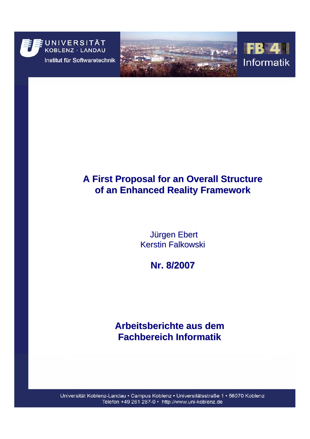

Institut für Softwaretechnik





## **A First Proposal for an Overall Structure of an Enhanced Reality Framework of an Enhanced Reality Framework**

**Jürgen Ebert Kerstin Falkowski** 

**Nr. 8/2007 Nr. 8/2007**

### **Arbeitsberichte aus dem Fachbereich Informatik Fachbereich Informatik**

Universität Koblenz-Landau · Campus Koblenz · Universitätsstraße 1 · 56070 Koblenz Telefon +49 261 287-0 • http://www.uni-koblenz.de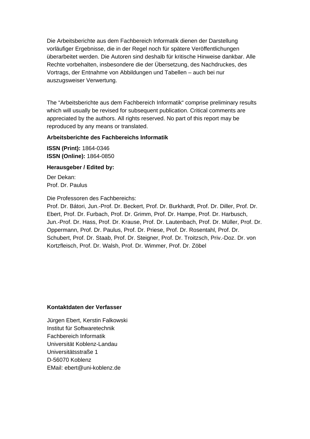Die Arbeitsberichte aus dem Fachbereich Informatik dienen der Darstellung vorläufiger Ergebnisse, die in der Regel noch für spätere Veröffentlichungen überarbeitet werden. Die Autoren sind deshalb für kritische Hinweise dankbar. Alle Rechte vorbehalten, insbesondere die der Übersetzung, des Nachdruckes, des Vortrags, der Entnahme von Abbildungen und Tabellen – auch bei nur auszugsweiser Verwertung.

The "Arbeitsberichte aus dem Fachbereich Informatik" comprise preliminary results which will usually be revised for subsequent publication. Critical comments are appreciated by the authors. All rights reserved. No part of this report may be reproduced by any means or translated.

#### **Arbeitsberichte des Fachbereichs Informatik**

**ISSN (Print):** 1864-0346 **ISSN (Online):** 1864-0850

#### **Herausgeber / Edited by:**

Der Dekan: Prof. Dr. Paulus

Die Professoren des Fachbereichs:

Prof. Dr. Bátori, Jun.-Prof. Dr. Beckert, Prof. Dr. Burkhardt, Prof. Dr. Diller, Prof. Dr. Ebert, Prof. Dr. Furbach, Prof. Dr. Grimm, Prof. Dr. Hampe, Prof. Dr. Harbusch, Jun.-Prof. Dr. Hass, Prof. Dr. Krause, Prof. Dr. Lautenbach, Prof. Dr. Müller, Prof. Dr. Oppermann, Prof. Dr. Paulus, Prof. Dr. Priese, Prof. Dr. Rosentahl, Prof. Dr. Schubert, Prof. Dr. Staab, Prof. Dr. Steigner, Prof. Dr. Troitzsch, Priv.-Doz. Dr. von Kortzfleisch, Prof. Dr. Walsh, Prof. Dr. Wimmer, Prof. Dr. Zöbel

#### **Kontaktdaten der Verfasser**

Jürgen Ebert, Kerstin Falkowski Institut für Softwaretechnik Fachbereich Informatik Universität Koblenz-Landau Universitätsstraße 1 D-56070 Koblenz EMail: ebert@uni-koblenz.de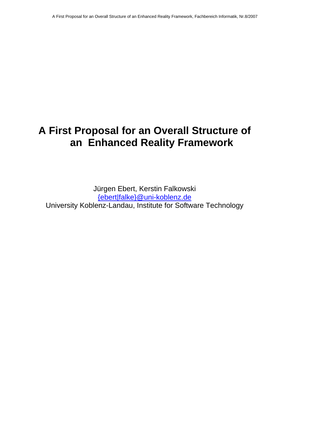## **A First Proposal for an Overall Structure of an Enhanced Reality Framework**

Jürgen Ebert, Kerstin Falkowski [{ebert|falke}@uni-koblenz.de](mailto:%7Bebert|falke%7D@uni-koblenz.de) University Koblenz-Landau, Institute for Software Technology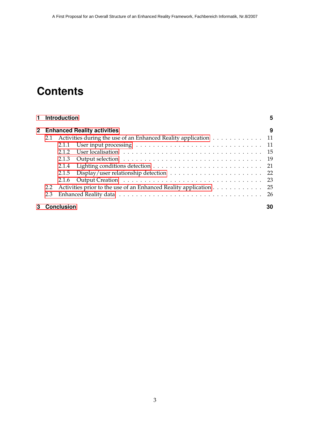# **Contents**

|   | 1 Introduction<br>2 Enhanced Reality activities |                   |                                                                                                                                                                                                                                |     |
|---|-------------------------------------------------|-------------------|--------------------------------------------------------------------------------------------------------------------------------------------------------------------------------------------------------------------------------|-----|
|   |                                                 |                   |                                                                                                                                                                                                                                |     |
|   | 2.1                                             |                   | Activities during the use of an Enhanced Reality application 11                                                                                                                                                                |     |
|   |                                                 | 2.1.1             |                                                                                                                                                                                                                                |     |
|   |                                                 | 2.1.2             | User localisation (a) in the contract of the contract of the contract of the contract of the contract of the contract of the contract of the contract of the contract of the contract of the contract of the contract of the c |     |
|   |                                                 | 2.1.3             |                                                                                                                                                                                                                                |     |
|   |                                                 | 2.1.4             |                                                                                                                                                                                                                                |     |
|   |                                                 | 2.1.5             |                                                                                                                                                                                                                                |     |
|   |                                                 |                   |                                                                                                                                                                                                                                |     |
|   | 2.2                                             |                   | Activities prior to the use of an Enhanced Reality application 25                                                                                                                                                              |     |
|   | 2.3                                             |                   |                                                                                                                                                                                                                                | -26 |
| 3 |                                                 | <b>Conclusion</b> |                                                                                                                                                                                                                                | 30  |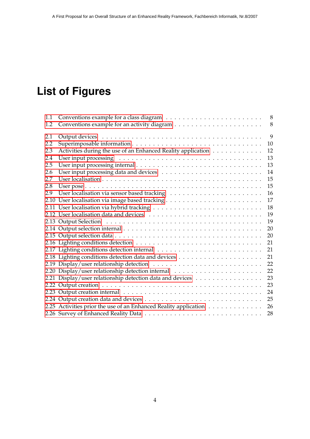# **List of Figures**

| 1.1 |                                                                  | 8  |
|-----|------------------------------------------------------------------|----|
| 1.2 |                                                                  | 8  |
| 2.1 |                                                                  | 9  |
| 2.2 |                                                                  | 10 |
| 2.3 | Activities during the use of an Enhanced Reality application     | 12 |
| 2.4 |                                                                  | 13 |
| 2.5 |                                                                  | 13 |
| 2.6 |                                                                  | 14 |
| 2.7 |                                                                  | 15 |
| 2.8 |                                                                  | 15 |
| 2.9 |                                                                  | 16 |
|     |                                                                  | 17 |
|     |                                                                  | 18 |
|     |                                                                  | 19 |
|     |                                                                  | 19 |
|     |                                                                  | 20 |
|     |                                                                  | 20 |
|     |                                                                  | 21 |
|     |                                                                  | 21 |
|     |                                                                  | 21 |
|     |                                                                  | 22 |
|     |                                                                  | 22 |
|     | 2.21 Display/user relationship detection data and devices        | 23 |
|     |                                                                  | 23 |
|     |                                                                  | 24 |
|     |                                                                  | 25 |
|     | 2.25 Activities prior the use of an Enhanced Reality application | 26 |
|     |                                                                  | 28 |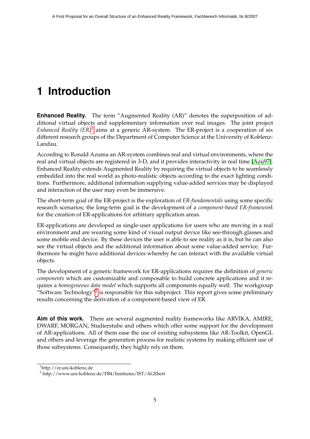# <span id="page-5-0"></span>**1 Introduction**

**Enhanced Reality.** The term "Augmented Reality (AR)" denotes the superposition of additional virtual objects and supplementary information over real images. The joint project *Enhanced Reality (ER)*[1](#page-5-1) aims at a generic AR-system. The ER-project is a cooperation of six different research groups of the Department of Computer Science at the University of Koblenz-Landau.

According to Ronald Azuma an AR-system combines real and virtual environments, where the real and virtual objects are registered in 3-D, and it provides interactivity in real time [\[Azu97\]](#page-31-0). Enhanced Reality extends Augmented Reality by requiring the virtual objects to be seamlessly embedded into the real world as photo-realistic objects according to the exact lighting conditions. Furthermore, additional information supplying value-added services may be displayed and interaction of the user may even be immersive.

The short-term goal of the ER-project is the exploration of *ER-fundamentals* using some specific research scenarios; the long-term goal is the development of a *component-based ER-framework* for the creation of ER-applications for arbitrary application areas.

ER-applications are developed as single-user applications for users who are moving in a real environment and are wearing some kind of visual output device like see-through glasses and some mobile end device. By these devices the user is able to see reality as it is, but he can also see the virtual objects and the additional information about some value-added service. Furthermore he might have additional devices whereby he can interact with the available virtual objects.

The development of a generic framework for ER-applications requires the definition of *generic components* which are customizable and composable to build concrete applications and it requires a *homogeneous data model* which supports all components equally well. The workgroup "Software Technology"<sup>[2](#page-5-2)</sup> is responsible for this subproject. This report gives some preliminary results concerning the derivation of a component-based view of ER.

**Aim of this work.** There are several augmented reality frameworks like ARVIKA, AMIRE, DWARF, MORGAN, Studierstube and others which offer some support for the development of AR-applications. All of them ease the use of existing subsystems like AR-Toolkit, OpenGL and others and leverage the generation process for realistic systems by making efficient use of those subsystems. Consequently, they highly rely on them.

<span id="page-5-1"></span><sup>1</sup>http://er.uni-koblenz.de

<span id="page-5-2"></span><sup>2</sup> http://www.uni-koblenz.de/FB4/Institutes/IST/AGEbert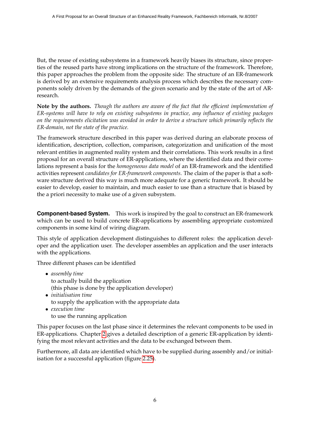But, the reuse of existing subsystems in a framework heavily biases its structure, since properties of the reused parts have strong implications on the structure of the framework. Therefore, this paper approaches the problem from the opposite side: The structure of an ER-framework is derived by an extensive requirements analysis process which describes the necessary components solely driven by the demands of the given scenario and by the state of the art of ARresearch.

**Note by the authors.** *Though the authors are aware of the fact that the efficient implementation of ER-systems will have to rely on existing subsystems in practice, any influence of existing packages on the requirements elicitation was avoided in order to derive a structure which primarily reflects the ER-domain, not the state of the practice.*

The framework structure described in this paper was derived during an elaborate process of identification, description, collection, comparison, categorization and unification of the most relevant entities in augmented reality system and their correlations. This work results in a first proposal for an overall structure of ER-applications, where the identified data and their correlations represent a basis for the *homogeneous data model* of an ER-framework and the identified activities represent *candidates for ER-framework components*. The claim of the paper is that a software structure derived this way is much more adequate for a generic framework. It should be easier to develop, easier to maintain, and much easier to use than a structure that is biased by the a priori necessity to make use of a given subsystem.

**Component-based System.** This work is inspired by the goal to construct an ER-framework which can be used to build concrete ER-applications by assembling appropriate customized components in some kind of wiring diagram.

This style of application development distinguishes to different roles: the application developer and the application user. The developer assembles an application and the user interacts with the applications.

Three different phases can be identified

- *assembly time* to actually build the application (this phase is done by the application developer)
- *initialisation time* to supply the application with the appropriate data
- *execution time* to use the running application

This paper focuses on the last phase since it determines the relevant components to be used in ER-applications. Chapter [2](#page-9-0) gives a detailed description of a generic ER-application by identifying the most relevant activities and the data to be exchanged between them.

Furthermore, all data are identified which have to be supplied during assembly and/or initialisation for a successful application (figure [2.25\)](#page-26-1).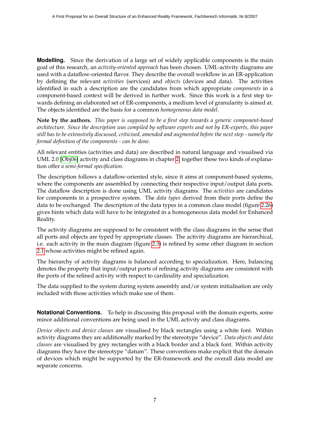**Modelling.** Since the derivation of a large set of widely applicable components is the main goal of this research, an *activity-oriented approach* has been chosen. UML-activity diagrams are used with a dataflow-oriented flavor. They describe the overall workflow in an ER-application by defining the relevant *activities* (services) and *objects* (devices and data). The activities identified in such a description are the candidates from which appropriate *components* in a component-based context will be derived in further work. Since this work is a first step towards defining an elaborated set of ER-components, a medium level of granularity is aimed at. The objects identified are the basis for a common *homogeneous data model*.

**Note by the authors.** *This paper is supposed to be a first step towards a generic component-based architecture. Since the description was compiled by software experts and not by ER-experts, this paper still has to be extensively discussed, criticised, amended and augmented before the next step - namely the formal definition of the components - can be done.*

All relevant entities (activities and data) are described in natural language and visualised via UML 2.0 [\[Obj06\]](#page-31-1) activity and class diagrams in chapter [2;](#page-9-0) together these two kinds of explanation offer *a semi-formal specification*.

The description follows a dataflow-oriented style, since it aims at component-based systems, where the components are assembled by connecting their respective input/output data ports. The dataflow description is done using UML activity diagrams. The *activities* are candidates for components in a prospective system. The *data types* derived from their ports define the data to be exchanged. The description of the data types in a common class model (figure [2.26\)](#page-28-0) gives hints which data will have to be integrated in a homogeneous data model for Enhanced Reality.

The activity diagrams are supposed to be consistent with the class diagrams in the sense that all ports and objects are typed by appropriate classes. The activity diagrams are hierarchical, i.e. each activity in the main diagram (figure [2.3\)](#page-12-0) is refined by some other diagram in section [2.1](#page-11-0) whose activities might be refined again.

The hierarchy of activity diagrams is balanced according to specialization. Here, balancing denotes the property that input/output ports of refining activity diagrams are consistent with the ports of the refined activity with respect to cardinality and specialization.

The data supplied to the system during system assembly and/or system initialisation are only included with those activities which make use of them.

**Notational Conventions.** To help in discussing this proposal with the domain experts, some minor additional conventions are being used in the UML activity and class diagrams.

*Device objects and device classes* are visualised by black rectangles using a white font. Within activity diagrams they are additionally marked by the stereotype "device". *Data objects and data classes* are visualised by grey rectangles with a black border and a black font. Within activity diagrams they have the stereotype "datum". These conventions make explicit that the domain of devices which might be supported by the ER-framework and the overall data model are separate concerns.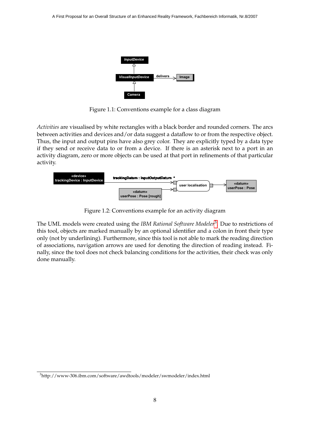

<span id="page-8-0"></span>Figure 1.1: Conventions example for a class diagram

*Activities* are visualised by white rectangles with a black border and rounded corners. The arcs between activities and devices and/or data suggest a dataflow to or from the respective object. Thus, the input and output pins have also grey color. They are explicitly typed by a data type if they send or receive data to or from a device. If there is an asterisk next to a port in an activity diagram, zero or more objects can be used at that port in refinements of that particular activity.



<span id="page-8-1"></span>Figure 1.2: Conventions example for an activity diagram

The UML models were created using the *IBM Rational Software Modeler*[3](#page-8-2) . Due to restrictions of this tool, objects are marked manually by an optional identifier and a colon in front their type only (not by underlining). Furthermore, since this tool is not able to mark the reading direction of associations, navigation arrows are used for denoting the direction of reading instead. Finally, since the tool does not check balancing conditions for the activities, their check was only done manually.

<span id="page-8-2"></span><sup>3</sup>http://www-306.ibm.com/software/awdtools/modeler/swmodeler/index.html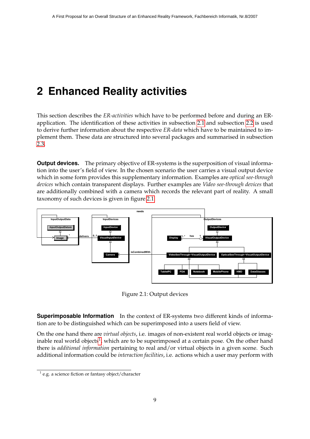# <span id="page-9-0"></span>**2 Enhanced Reality activities**

This section describes the *ER-activities* which have to be performed before and during an ERapplication. The identification of these activities in subsection [2.1](#page-11-0) and subsection [2.2](#page-25-0) is used to derive further information about the respective *ER-data* which have to be maintained to implement them. These data are structured into several packages and summarised in subsection [2.3.](#page-26-0)

**Output devices.** The primary objective of ER-systems is the superposition of visual information into the user's field of view. In the chosen scenario the user carries a visual output device which in some form provides this supplementary information. Examples are *optical see-through devices* which contain transparent displays. Further examples are *Video see-through devices* that are additionally combined with a camera which records the relevant part of reality. A small taxonomy of such devices is given in figure [2.1.](#page-9-1)



<span id="page-9-1"></span>Figure 2.1: Output devices

**Superimposable Information** In the context of ER-systems two different kinds of information are to be distinguished which can be superimposed into a users field of view.

On the one hand there are *virtual objects*, i.e. images of non-existent real world objects or imag-inable real world objects<sup>[1](#page-9-2)</sup>, which are to be superimposed at a certain pose. On the other hand there is *additional information* pertaining to real and/or virtual objects in a given scene. Such additional information could be *interaction facilities*, i.e. actions which a user may perform with

<span id="page-9-2"></span> $1$  e.g. a science fiction or fantasy object/character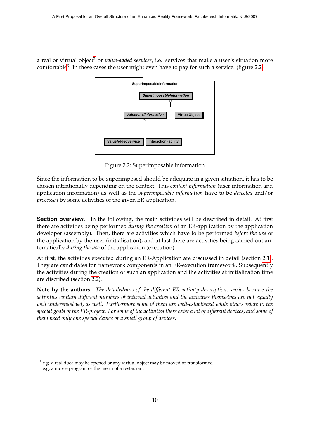a real or virtual object<sup>[2](#page-10-1)</sup> or *value-added services*, *i.e.* services that make a user's situation more comfortable<sup>[3](#page-10-2)</sup>. In these cases the user might even have to pay for such a service. (figure [2.2\)](#page-10-0)



<span id="page-10-0"></span>Figure 2.2: Superimposable information

Since the information to be superimposed should be adequate in a given situation, it has to be chosen intentionally depending on the context. This *context information* (user information and application information) as well as the *superimposable information* have to be *detected* and/or *processed* by some activities of the given ER-application.

**Section overview.** In the following, the main activities will be described in detail. At first there are activities being performed *during the creation* of an ER-application by the application developer (assembly). Then, there are activities which have to be performed *before the use* of the application by the user (initialisation), and at last there are activities being carried out automatically *during the use* of the application (execution).

At first, the activities executed during an ER-Application are discussed in detail (section [2.1\)](#page-11-0). They are candidates for framework components in an ER-execution framework. Subsequently the activities during the creation of such an application and the activities at initialization time are discribed (section [2.2\)](#page-25-0).

**Note by the authors.** *The detailedness of the different ER-activity descriptions varies because the activities contain different numbers of internal activities and the activities themselves are not equally well understood yet, as well. Furthermore some of them are well-established while others relate to the special goals of the ER-project. For some of the activities there exist a lot of different devices, and some of them need only one special device or a small group of devices.*

<span id="page-10-1"></span> $^2$  e.g. a real door may be opened or any virtual object may be moved or transformed

<span id="page-10-2"></span> $3$  e.g. a movie program or the menu of a restaurant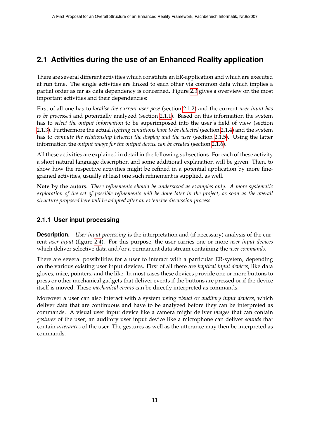### <span id="page-11-0"></span>**2.1 Activities during the use of an Enhanced Reality application**

There are several different activities which constitute an ER-application and which are executed at run time. The single activities are linked to each other via common data which implies a partial order as far as data dependency is concerned. Figure [2.3](#page-12-0) gives a overview on the most important activities and their dependencies:

First of all one has to *localise the current user pose* (section [2.1.2\)](#page-15-0) and the current *user input has to be processed* and potentially analyzed (section [2.1.1\)](#page-11-1). Based on this information the system has to *select the output information* to be superimposed into the user's field of view (section [2.1.3\)](#page-19-0). Furthermore the actual *lighting conditions have to be detected* (section [2.1.4\)](#page-21-0) and the system has to *compute the relationship between the display and the user* (section [2.1.5\)](#page-22-0). Using the latter information the *output image for the output device can be created* (section [2.1.6\)](#page-23-0).

All these activities are explained in detail in the following subsections. For each of these activity a short natural language description and some additional explanation will be given. Then, to show how the respective activities might be refined in a potential application by more finegrained activities, usually at least one such refinement is supplied, as well.

**Note by the autors.** *These refinements should be understood as examples only. A more systematic exploration of the set of possible refinements will be done later in the project, as soon as the overall structure proposed here will be adopted after an extensive discussion process.*

#### <span id="page-11-1"></span>**2.1.1 User input processing**

**Description.** *User input processing* is the interpretation and (if necessary) analysis of the current *user input* (figure [2.4\)](#page-13-0). For this purpose, the user carries one or more *user input devices* which deliver selective data and/or a permanent data stream containing the *user commands*.

There are several possibilities for a user to interact with a particular ER-system, depending on the various existing user input devices. First of all there are *haptical input devices*, like data gloves, mice, pointers, and the like. In most cases these devices provide one or more buttons to press or other mechanical gadgets that deliver events if the buttons are pressed or if the device itself is moved. These *mechanical events* can be directly interpreted as commands.

Moreover a user can also interact with a system using *visual* or *auditory input devices*, which deliver data that are continuous and have to be analyzed before they can be interpreted as commands. A visual user input device like a camera might deliver *images* that can contain *gestures* of the user; an auditory user input device like a microphone can deliver *sounds* that contain *utterances* of the user. The gestures as well as the utterance may then be interpreted as commands.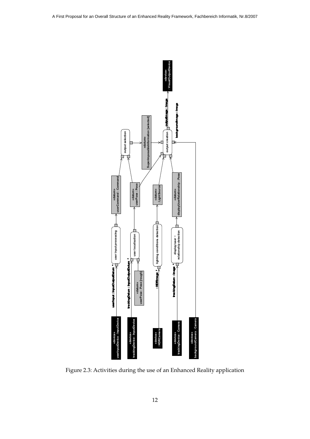

<span id="page-12-0"></span>Figure 2.3: Activities during the use of an Enhanced Reality application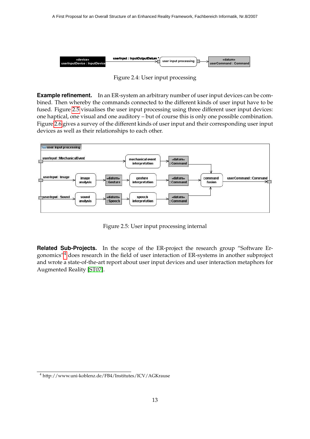

<span id="page-13-0"></span>Figure 2.4: User input processing

**Example refinement.** In an ER-system an arbitrary number of user input devices can be combined. Then whereby the commands connected to the different kinds of user input have to be fused. Figure [2.5](#page-13-1) visualises the user input processing using three different user input devices: one haptical, one visual and one auditory – but of course this is only one possible combination. Figure [2.6](#page-14-0) gives a survey of the different kinds of user input and their corresponding user input devices as well as their relationships to each other.



<span id="page-13-1"></span>Figure 2.5: User input processing internal

**Related Sub-Projects.** In the scope of the ER-project the research group "Software Ergonomics"[4](#page-13-2) does research in the field of user interaction of ER-systems in another subproject and wrote a state-of-the-art report about user input devices and user interaction metaphors for Augmented Reality [\[ST07\]](#page-31-2).

<span id="page-13-2"></span><sup>4</sup> http://www.uni-koblenz.de/FB4/Institutes/ICV/AGKrause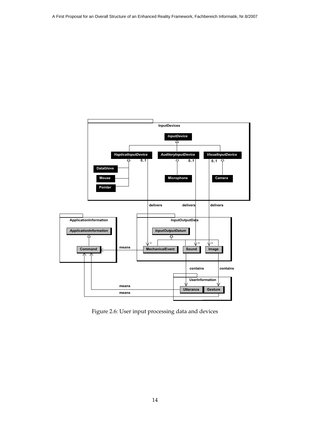

<span id="page-14-0"></span>Figure 2.6: User input processing data and devices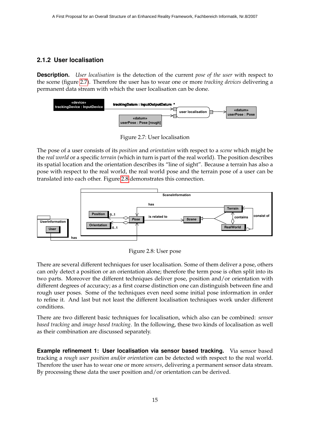#### <span id="page-15-0"></span>**2.1.2 User localisation**

**Description.** *User localisation* is the detection of the current *pose of the user* with respect to the scene (figure [2.7\)](#page-15-1). Therefore the user has to wear one or more *tracking devices* delivering a permanent data stream with which the user localisation can be done.



<span id="page-15-1"></span>Figure 2.7: User localisation

The pose of a user consists of its *position* and *orientation* with respect to a *scene* which might be the *real world* or a specific *terrain* (which in turn is part of the real world). The position describes its spatial location and the orientation describes its "line of sight". Because a terrain has also a pose with respect to the real world, the real world pose and the terrain pose of a user can be translated into each other. Figure [2.8](#page-15-2) demonstrates this connection.



<span id="page-15-2"></span>Figure 2.8: User pose

There are several different techniques for user localisation. Some of them deliver a pose, others can only detect a position or an orientation alone; therefore the term pose is often split into its two parts. Moreover the different techniques deliver pose, position and/or orientation with different degrees of accuracy; as a first coarse distinction one can distinguish between fine and rough user poses. Some of the techniques even need some initial pose information in order to refine it. And last but not least the different localisation techniques work under different conditions.

There are two different basic techniques for localisation, which also can be combined: *sensor based tracking* and *image based tracking*. In the following, these two kinds of localisation as well as their combination are discussed separately.

**Example refinement 1: User localisation via sensor based tracking.** Via sensor based tracking a *rough user position and/or orientation* can be detected with respect to the real world. Therefore the user has to wear one or more *sensors*, delivering a permanent sensor data stream. By processing these data the user position and/or orientation can be derived.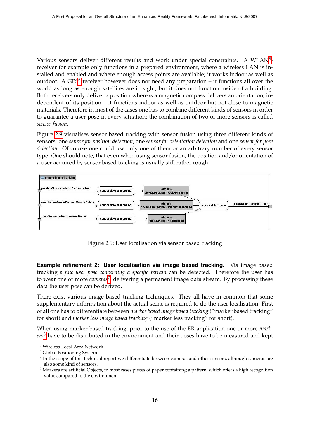Various sensors deliver different results and work under special constraints. A WLAN<sup>[5](#page-16-1)</sup>receiver for example only functions in a prepared environment, where a wireless LAN is installed and enabled and where enough access points are available; it works indoor as well as outdoor. A GPS<sup>[6](#page-16-2)</sup>-receiver however does not need any preparation - it functions all over the world as long as enough satellites are in sight; but it does not function inside of a building. Both receivers only deliver a position whereas a magnetic compass delivers an orientation, independent of its position – it functions indoor as well as outdoor but not close to magnetic materials. Therefore in most of the cases one has to combine different kinds of sensors in order to guarantee a user pose in every situation; the combination of two or more sensors is called *sensor fusion*.

Figure [2.9](#page-16-0) visualises sensor based tracking with sensor fusion using three different kinds of sensors: one *sensor for position detection*, one *sensor for orientation detection* and one *sensor for pose detection*. Of course one could use only one of them or an arbitrary number of every sensor type. One should note, that even when using sensor fusion, the position and/or orientation of a user acquired by sensor based tracking is usually still rather rough.



<span id="page-16-0"></span>Figure 2.9: User localisation via sensor based tracking

**Example refinement 2: User localisation via image based tracking.** Via image based tracking a *fine user pose concerning a specific terrain* can be detected. Therefore the user has to wear one or more *cameras*[7](#page-16-3) , delivering a permanent image data stream. By processing these data the user pose can be derived.

There exist various image based tracking techniques. They all have in common that some supplementary information about the actual scene is required to do the user localisation. First of all one has to differentiate between *marker based image based tracking* ("marker based tracking" for short) and *marker less image based tracking* ("marker less tracking" for short).

When using marker based tracking, prior to the use of the ER-application one or more *markers*[8](#page-16-4) have to be distributed in the environment and their poses have to be measured and kept

<span id="page-16-1"></span><sup>5</sup> Wireless Local Area Network

<span id="page-16-2"></span><sup>6</sup> Global Positioning System

<span id="page-16-3"></span> $^7$  In the scope of this technical report we differentiate between cameras and other sensors, although cameras are also some kind of sensors.

<span id="page-16-4"></span><sup>&</sup>lt;sup>8</sup> Markers are artificial Objects, in most cases pieces of paper containing a pattern, which offers a high recognition value compared to the environment.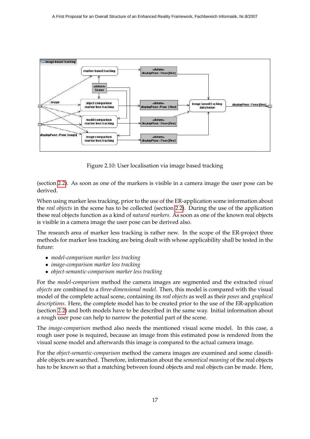

<span id="page-17-0"></span>Figure 2.10: User localisation via image based tracking

(section [2.2\)](#page-25-0). As soon as one of the markers is visible in a camera image the user pose can be derived.

When using marker less tracking, prior to the use of the ER-application some information about the *real objects* in the scene has to be collected (section [2.2\)](#page-25-0). During the use of the application these real objects function as a kind of *natural markers*. As soon as one of the known real objects is visible in a camera image the user pose can be derived also.

The research area of marker less tracking is rather new. In the scope of the ER-project three methods for marker less tracking are being dealt with whose applicability shall be tested in the future:

- *model-comparison marker less tracking*
- *image-comparison marker less tracking*
- *object-semantic-comparison marker less tracking*

For the *model-comparison* method the camera images are segmented and the extracted *visual objects* are combined to a *three-dimensional model*. Then, this model is compared with the visual model of the complete actual scene, containing its *real objects* as well as their *poses* and *graphical descriptions*. Here, the complete model has to be created prior to the use of the ER-application (section [2.2\)](#page-25-0) and both models have to be described in the same way. Initial information about a rough user pose can help to narrow the potential part of the scene.

The *image-comparison* method also needs the mentioned visual scene model. In this case, a rough user pose is required, because an image from this estimated pose is rendered from the visual scene model and afterwards this image is compared to the actual camera image.

For the *object-semantic-comparison* method the camera images are examined and some classifiable objects are searched. Therefore, information about the *semantical meaning* of the real objects has to be known so that a matching between found objects and real objects can be made. Here,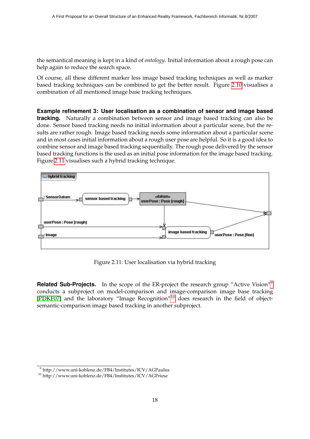the semantical meaning is kept in a kind of *ontology*. Initial information about a rough pose can help again to reduce the search space.

Of course, all these different marker less image based tracking techniques as well as marker based tracking techniques can be combined to get the better result. Figure [2.10](#page-17-0) visualises a combination of all mentioned image base tracking techniques.

**Example refinement 3: User localisation as a combination of sensor and image based tracking.** Naturally a combination between sensor and image based tracking can also be done. Sensor based tracking needs no initial information about a particular scene, but the results are rather rough. Image based tracking needs some information about a particular scene and in most cases initial information about a rough user pose are helpful. So it is a good idea to combine sensor and image based tracking sequentially. The rough pose delivered by the sensor based tracking functions is the used as an initial pose information for the image based tracking. Figure [2.11](#page-18-0) visualises such a hybrid tracking technique.



<span id="page-18-0"></span>Figure 2.11: User localisation via hybrid tracking

**Related Sub-Projects.** In the scope of the ER-project the research group "Active Vision"<sup>[9](#page-18-1)</sup> conducts a subproject on model-comparison and image-comparison image base tracking [\[PDKF07\]](#page-31-3) and the laboratory "Image Recognition"[10](#page-18-2) does research in the field of objectsemantic-comparison image based tracking in another subproject.

<span id="page-18-1"></span><sup>9</sup> http://www.uni-koblenz.de/FB4/Institutes/ICV/AGPaulus

<span id="page-18-2"></span><sup>10</sup> http://www.uni-koblenz.de/FB4/Institutes/ICV/AGPriese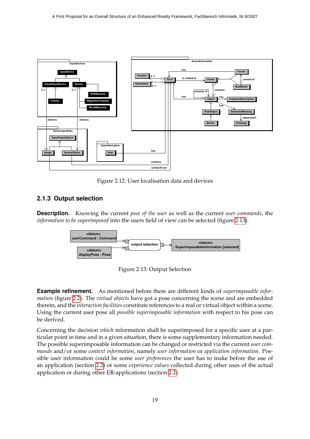

<span id="page-19-1"></span>Figure 2.12: User localisation data and devices

#### <span id="page-19-0"></span>**2.1.3 Output selection**

**Description.** Knowing the current *pose of the user* as well as the current *user commands*, the *information to be superimposed* into the users field of view can be selected (figure [2.13\)](#page-19-2).



<span id="page-19-2"></span>Figure 2.13: Output Selection

**Example refinement.** As mentioned before there are different kinds of *superimposable information* (figure [2.2\)](#page-10-0). The *virtual objects* have got a pose concerning the scene and are embedded therein, and the *interaction facilities* constitute references to a real or virtual object within a scene. Using the current user pose all *possible superimposable information* with respect to his pose can be derived.

Concerning the decision *which* information shall be superimposed for a specific user at a particular point in time and in a given situation, there is some supplementary information needed. The possible superimposable information can be changed or restricted via the current *user commands* and/or some *context information*, namely *user information* or *application information*. Possible user information could be some *user preferences* the user has to make before the use of an application (section [2.2\)](#page-25-0) or some *experience values* collected during other uses of the actual application or during other ER-applications (section [2.2\)](#page-25-0).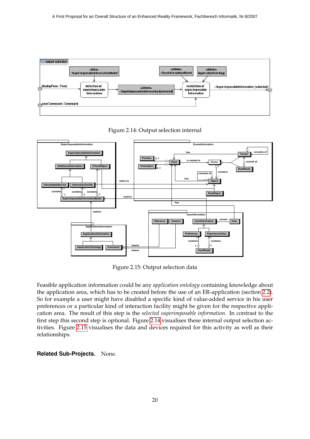

<span id="page-20-0"></span>Figure 2.14: Output selection internal



<span id="page-20-1"></span>Figure 2.15: Output selection data

Feasible application information could be any *application ontology* containing knowledge about the application area, which has to be created before the use of an ER-application (section [2.2\)](#page-25-0). So for example a user might have disabled a specific kind of value-added service in his user preferences or a particular kind of interaction facility might be given for the respective application area. The result of this step is the *selected superimposable information*. In contrast to the first step this second step is optional. Figure [2.14](#page-20-0) visualises these internal output selection activities. Figure [2.15](#page-20-1) visualises the data and devices required for this activity as well as their relationships.

#### **Related Sub-Projects.** None.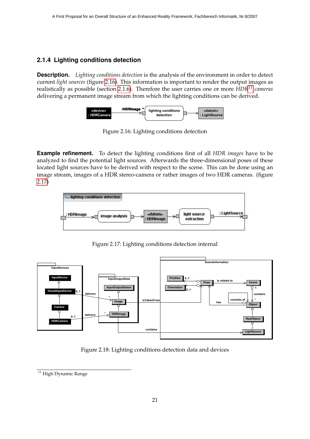#### <span id="page-21-0"></span>**2.1.4 Lighting conditions detection**

**Description.** *Lighting conditions detection* is the analysis of the environment in order to detect current *light sources* (figure [2.16\)](#page-21-1). This information is important to render the output images as realistically as possible (section [2.1.6\)](#page-23-0). Therefore the user carries one or more *HDR[11](#page-21-4) cameras* delivering a permanent image stream from which the lighting conditions can be derived.



<span id="page-21-1"></span>Figure 2.16: Lighting conditions detection

**Example refinement.** To detect the lighting conditions first of all *HDR images* have to be analyzed to find the potential light sources. Afterwards the three-dimensional poses of these located light sources have to be derived with respect to the scene. This can be done using an image stream, images of a HDR stereo-camera or rather images of two HDR cameras. (figure [2.17\)](#page-21-2)



<span id="page-21-2"></span>Figure 2.17: Lighting conditions detection internal



<span id="page-21-3"></span>Figure 2.18: Lighting conditions detection data and devices

<span id="page-21-4"></span> $\overline{11}$  High Dynamic Range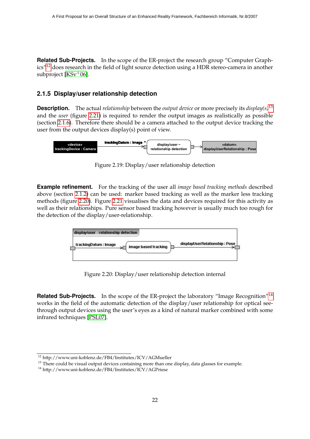**Related Sub-Projects.** In the scope of the ER-project the research group "Computer Graph-ics"<sup>[12](#page-22-3)</sup> does research in the field of light source detection using a HDR stereo-camera in another subproject [\[KSv](#page-31-4)<sup>+</sup>06].

#### <span id="page-22-0"></span>**2.1.5 Display/user relationship detection**

**Description.** The actual *relationship* between the *output device* or more precisely its *display(s)*[13](#page-22-4) and the *user* (figure [2.21\)](#page-23-1) is required to render the output images as realistically as possible (section [2.1.6\)](#page-23-0). Therefore there should be a camera attached to the output device tracking the user from the output devices display(s) point of view.



<span id="page-22-1"></span>Figure 2.19: Display/user relationship detection

**Example refinement.** For the tracking of the user all *image based tracking methods* described above (section [2.1.2\)](#page-15-0) can be used: marker based tracking as well as the marker less tracking methods (figure [2.20\)](#page-22-2). Figure [2.21](#page-23-1) visualises the data and devices required for this activity as well as their relationships. Pure sensor based tracking however is usually much too rough for the detection of the display/user-relationship.



<span id="page-22-2"></span>Figure 2.20: Display/user relationship detection internal

**Related Sub-Projects.** In the scope of the ER-project the laboratory "Image Recognition"<sup>[14](#page-22-5)</sup> works in the field of the automatic detection of the display/user relationship for optical seethrough output devices using the user's eyes as a kind of natural marker combined with some infrared techniques [\[PSL07\]](#page-31-5).

<span id="page-22-3"></span><sup>12</sup> http://www.uni-koblenz.de/FB4/Institutes/ICV/AGMueller

<span id="page-22-4"></span><sup>&</sup>lt;sup>13</sup> There could be visual output devices containing more than one display, data glasses for example.

<span id="page-22-5"></span><sup>14</sup> http://www.uni-koblenz.de/FB4/Institutes/ICV/AGPriese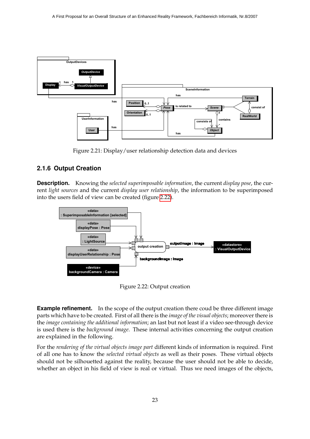

<span id="page-23-1"></span>Figure 2.21: Display/user relationship detection data and devices

#### <span id="page-23-0"></span>**2.1.6 Output Creation**

**Description.** Knowing the *selected superimposable information*, the current *display pose*, the current *light sources* and the current *display user relationship*, the information to be superimposed into the users field of view can be created (figure [2.22\)](#page-23-2).



<span id="page-23-2"></span>Figure 2.22: Output creation

**Example refinement.** In the scope of the output creation there coud be three different image parts which have to be created. First of all there is the *image of the visual objects*; moreover there is the *image containing the additional information*; an last but not least if a video see-through device is used there is the *background image*. These internal activities concerning the output creation are explained in the following.

For the *rendering of the virtual objects image part* different kinds of information is required. First of all one has to know the *selected virtual objects* as well as their poses. These virtual objects should not be silhouetted against the reality, because the user should not be able to decide, whether an object in his field of view is real or virtual. Thus we need images of the objects,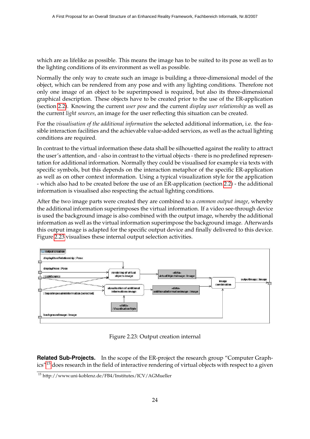which are as lifelike as possible. This means the image has to be suited to its pose as well as to the lighting conditions of its environment as well as possible.

Normally the only way to create such an image is building a three-dimensional model of the object, which can be rendered from any pose and with any lighting conditions. Therefore not only one image of an object to be superimposed is required, but also its three-dimensional graphical description. These objects have to be created prior to the use of the ER-application (section [2.2\)](#page-25-0). Knowing the current *user pose* and the current *display user relationship* as well as the current *light sources*, an image for the user reflecting this situation can be created.

For the *visualisation of the additional information* the selected additional information, i.e. the feasible interaction facilities and the achievable value-added services, as well as the actual lighting conditions are required.

In contrast to the virtual information these data shall be silhouetted against the reality to attract the user's attention, and - also in contrast to the virtual objects - there is no predefined representation for additional information. Normally they could be visualised for example via texts with specific symbols, but this depends on the interaction metaphor of the specific ER-application as well as on other context information. Using a typical visualization style for the application - which also had to be created before the use of an ER-application (section [2.2\)](#page-25-0) - the additional information is visualised also respecting the actual lighting conditions.

After the two image parts were created they are combined to a *common output image*, whereby the additional information superimposes the virtual information. If a video see-through device is used the background image is also combined with the output image, whereby the additional information as well as the virtual information superimpose the background image. Afterwards this output image is adapted for the specific output device and finally delivered to this device. Figure [2.23](#page-24-0) visualises these internal output selection activities.



<span id="page-24-0"></span>Figure 2.23: Output creation internal

**Related Sub-Projects.** In the scope of the ER-project the research group "Computer Graphics"[15](#page-24-1) does research in the field of interactive rendering of virtual objects with respect to a given

<span id="page-24-1"></span><sup>15</sup> http://www.uni-koblenz.de/FB4/Institutes/ICV/AGMueller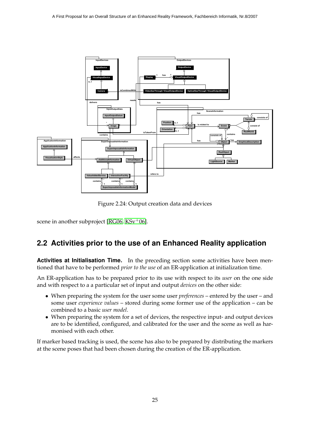

<span id="page-25-1"></span>Figure 2.24: Output creation data and devices

scene in another subproject [ $RG06$ ,  $KSv^+06$ ].

### <span id="page-25-0"></span>**2.2 Activities prior to the use of an Enhanced Reality application**

**Activities at Initialisation Time.** In the preceding section some activities have been mentioned that have to be performed *prior to the use* of an ER-application at initialization time.

An ER-application has to be prepared prior to its use with respect to its *user* on the one side and with respect to a a particular set of input and output *devices* on the other side:

- When preparing the system for the user some user *preferences* entered by the user and some user *experience values* – stored during some former use of the application – can be combined to a basic *user model*.
- When preparing the system for a set of devices, the respective input- and output devices are to be identified, configured, and calibrated for the user and the scene as well as harmonised with each other.

If marker based tracking is used, the scene has also to be prepared by distributing the markers at the scene poses that had been chosen during the creation of the ER-application.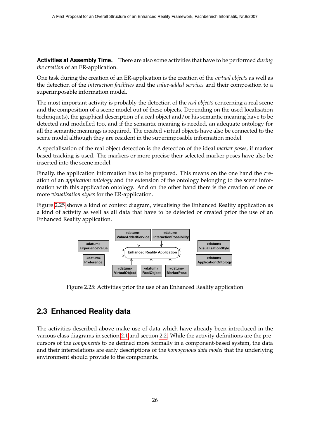**Activities at Assembly Time.** There are also some activities that have to be performed *during the creation* of an ER-application.

One task during the creation of an ER-application is the creation of the *virtual objects* as well as the detection of the *interaction facilities* and the *value-added services* and their composition to a superimposable information model.

The most important activity is probably the detection of the *real objects* concerning a real scene and the composition of a scene model out of these objects. Depending on the used localisation technique(s), the graphical description of a real object and/or his semantic meaning have to be detected and modelled too, and if the semantic meaning is needed, an adequate ontology for all the semantic meanings is required. The created virtual objects have also be connected to the scene model although they are resident in the superimposable information model.

A specialisation of the real object detection is the detection of the ideal *marker poses*, if marker based tracking is used. The markers or more precise their selected marker poses have also be inserted into the scene model.

Finally, the application information has to be prepared. This means on the one hand the creation of an *application ontology* and the extension of the ontology belonging to the scene information with this application ontology. And on the other hand there is the creation of one or more *visualisation styles* for the ER-application.

Figure [2.25](#page-26-1) shows a kind of context diagram, visualising the Enhanced Reality application as a kind of activity as well as all data that have to be detected or created prior the use of an Enhanced Reality application.



<span id="page-26-1"></span>Figure 2.25: Activities prior the use of an Enhanced Reality application

### <span id="page-26-0"></span>**2.3 Enhanced Reality data**

The activities described above make use of data which have already been introduced in the various class diagrams in section [2.1](#page-11-0) and section [2.2.](#page-25-0) While the activity definitions are the precursors of the *components* to be defined more formally in a component-based system, the data and their interrelations are early descriptions of the *homogenous data model* that the underlying environment should provide to the components.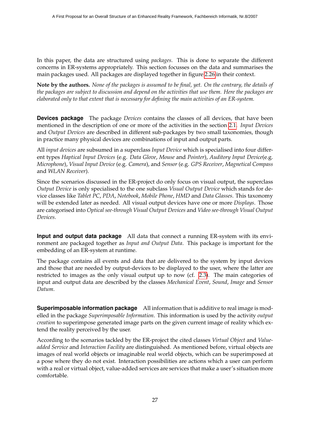In this paper, the data are structured using *packages*. This is done to separate the different concerns in ER-systems appropriately. This section focusses on the data and summarises the main packages used. All packages are displayed together in figure [2.26](#page-28-0) in their context.

**Note by the authors.** *None of the packages is assumed to be final, yet. On the contrary, the details of the packages are subject to discussion and depend on the activities that use them. Here the packages are elaborated only to that extent that is necessary for defining the main activities of an ER-system.*

<span id="page-27-0"></span>**Devices package** The package *Devices* contains the classes of all devices, that have been mentioned in the description of one or more of the activities in the section [2.1.](#page-11-0) *Input Devices* and *Output Devices* are described in different sub-packages by two small taxonomies, though in practice many physical devices are combinations of input and output parts.

All *input devices* are subsumed in a superclass *Input Device* which is specialised into four different types *Haptical Input Devices* (e.g. *Data Glove*, *Mouse* and *Pointer*), *Auditory Input Device*(e.g. *Microphone*), *Visual Input Device* (e.g. *Camera*), and *Sensor* (e.g. *GPS Receiver*, *Magnetical Compass* and *WLAN Receiver*).

Since the scenarios discussed in the ER-project do only focus on visual output, the superclass *Output Device* is only specialised to the one subclass *Visual Output Device* which stands for device classes like *Tablet PC*, *PDA*, *Notebook*, *Mobile Phone*, *HMD* and *Data Glasses*. This taxonomy will be extended later as needed. All visual output devices have one or more *Displays*. Those are categorised into *Optical see-through Visual Output Devices* and *Video see-through Visual Output Devices*.

**Input and output data package** All data that connect a running ER-system with its environment are packaged together as *Input and Output Data*. This package is important for the embedding of an ER-system at runtime.

The package contains all events and data that are delivered to the system by input devices and those that are needed by output-devices to be displayed to the user, where the latter are restricted to images as the only visual output up to now (cf. [2.3\)](#page-27-0). The main categories of input and output data are described by the classes *Mechanical Event*, *Sound*, *Image* and *Sensor Datum*.

**Superimposable information package** All information that is additive to real image is modelled in the package *Superimposable Information*. This information is used by the activity *output creation* to superimpose generated image parts on the given current image of reality which extend the reality perceived by the user.

According to the scenarios tackled by the ER-project the cited classes *Virtual Object* and *Valueadded Service* and *Interaction Facility* are distinguished. As mentioned before, virtual objects are images of real world objects or imaginable real world objects, which can be superimposed at a pose where they do not exist. Interaction possibilities are actions which a user can perform with a real or virtual object, value-added services are services that make a user's situation more comfortable.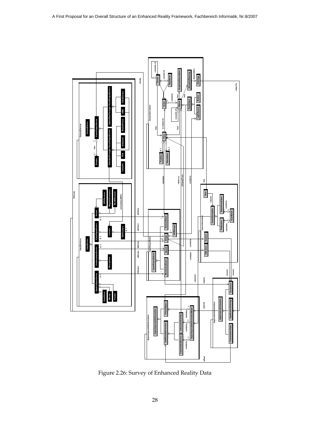

<span id="page-28-0"></span>Figure 2.26: Survey of Enhanced Reality Data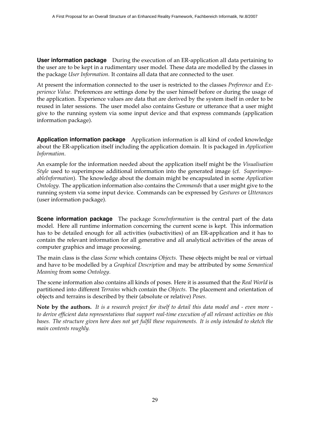**User information package** During the execution of an ER-application all data pertaining to the user are to be kept in a rudimentary user model. These data are modelled by the classes in the package *User Information*. It contains all data that are connected to the user.

At present the information connected to the user is restricted to the classes *Preference* and *Experience Value*. Preferences are settings done by the user himself before or during the usage of the application. Experience values are data that are derived by the system itself in order to be reused in later sessions. The user model also contains Gesture or utterance that a user might give to the running system via some input device and that express commands (application information package).

**Application information package** Application information is all kind of coded knowledge about the ER-application itself including the application domain. It is packaged in *Application Information*.

An example for the information needed about the application itself might be the *Visualisation Style* used to superimpose additional information into the generated image (cf. *SuperimposableInformation*). The knowledge about the domain might be encapsulated in some *Application Ontology*. The application information also contains the *Commands* that a user might give to the running system via some input device. Commands can be expressed by *Gestures* or *Utterances* (user information package).

**Scene information package** The package *SceneInformation* is the central part of the data model. Here all runtime information concerning the current scene is kept. This information has to be detailed enough for all activities (subactivities) of an ER-application and it has to contain the relevant information for all generative and all analytical activities of the areas of computer graphics and image processing.

The main class is the class *Scene* which contains *Objects*. These objects might be real or virtual and have to be modelled by a *Graphical Description* and may be attributed by some *Semantical Meaning* from some *Ontology*.

The scene information also contains all kinds of poses. Here it is assumed that the *Real World* is partitioned into different *Terrains* which contain the *Objects*. The placement and orientation of objects and terrains is described by their (absolute or relative) *Poses*.

**Note by the authors.** *It is a research project for itself to detail this data model and - even more to derive efficient data representations that support real-time execution of all relevant activities on this bases. The structure given here does not yet fulfil these requirements. It is only intended to sketch the main contents roughly.*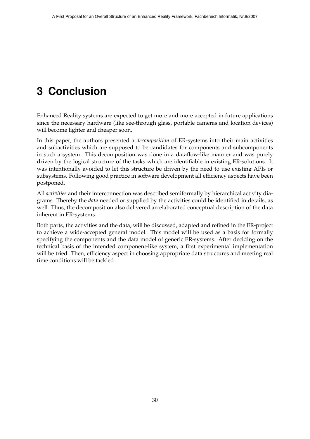# <span id="page-30-0"></span>**3 Conclusion**

Enhanced Reality systems are expected to get more and more accepted in future applications since the necessary hardware (like see-through glass, portable cameras and location devices) will become lighter and cheaper soon.

In this paper, the authors presented a *decomposition* of ER-systems into their main activities and subactivities which are supposed to be candidates for components and subcomponents in such a system. This decomposition was done in a dataflow-like manner and was purely driven by the logical structure of the tasks which are identifiable in existing ER-solutions. It was intentionally avoided to let this structure be driven by the need to use existing APIs or subsystems. Following good practice in software development all efficiency aspects have been postponed.

All *activities* and their interconnection was described semiformally by hierarchical activity diagrams. Thereby the *data* needed or supplied by the activities could be identified in details, as well. Thus, the decomposition also delivered an elaborated conceptual description of the data inherent in ER-systems.

Both parts, the activities and the data, will be discussed, adapted and refined in the ER-project to achieve a wide-accepted general model. This model will be used as a basis for formally specifying the components and the data model of generic ER-systems. After deciding on the technical basis of the intended component-like system, a first experimental implementation will be tried. Then, efficiency aspect in choosing appropriate data structures and meeting real time conditions will be tackled.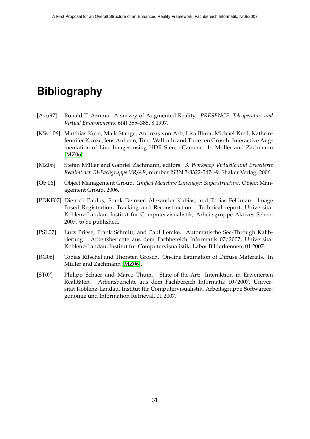## **Bibliography**

- <span id="page-31-0"></span>[Azu97] Ronald T. Azuma. A survey of Augmented Reality. *PRESENCE: Teleoperators and Virtual Environments*, 6(4):355–385, 8 1997.
- <span id="page-31-4"></span>[KSv+06] Matthias Korn, Maik Stange, Andreas von Arb, Lisa Blum, Michael Kreil, Kathrin-Jennifer Kunze, Jens Anhenn, Timo Wallrath, and Thorsten Grosch. Interactive Augmentation of Live Images using HDR Stereo Camera. In Müller and Zachmann [\[MZ06\]](#page-31-7).
- <span id="page-31-7"></span>[MZ06] Stefan Müller and Gabriel Zachmann, editors. 3. Workshop Virtuelle und Erweiterte *Realit¨at der GI-Fachgruppe VR/AR*, number ISBN 3-8322-5474-9. Shaker Verlag, 2006.
- <span id="page-31-1"></span>[Obj06] Object Management Group. *Unified Modeling Language: Superstructure*. Object Management Group, 2006.
- <span id="page-31-3"></span>[PDKF07] Dietrich Paulus, Frank Deinzer, Alexander Kubias, and Tobias Feldman. Image Based Registration, Tracking and Reconstruction. Technical report, Universität Koblenz-Landau, Institut für Computervisualistik, Arbeitsgruppe Aktives Sehen, 2007. to be published.
- <span id="page-31-5"></span>[PSL07] Lutz Priese, Frank Schmitt, and Paul Lemke. Automatische See-Through Kalibrierung. Arbeitsberichte aus dem Fachbereich Informatik 07/2007, Universität Koblenz-Landau, Institut für Computervisualistik, Labor Bilderkennen, 01 2007.
- <span id="page-31-6"></span>[RG06] Tobias Ritschel and Thorsten Grosch. On-line Estimation of Diffuse Materials. In Müller and Zachmann [\[MZ06\]](#page-31-7).
- <span id="page-31-2"></span>[ST07] Philipp Schaer and Marco Thum. State-of-the-Art: Interaktion in Erweiterten Realitäten. Arbeitsberichte aus dem Fachbereich Informatik 10/2007, Universität Koblenz-Landau, Institut für Computervisualistik, Arbeitsgruppe Softwareergonomie und Information Retrieval, 01 2007.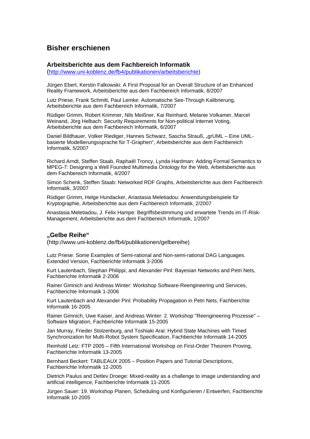### **Bisher erschienen**

#### **Arbeitsberichte aus dem Fachbereich Informatik**

(<http://www.uni-koblenz.de/fb4/publikationen/arbeitsberichte>)

Jürgen Ebert, Kerstin Falkowski: A First Proposal for an Overall Structure of an Enhanced Reality Framework, Arbeitsberichte aus dem Fachbereich Informatik, 8/2007

Lutz Priese, Frank Schmitt, Paul Lemke: Automatische See-Through Kalibrierung, Arbeitsberichte aus dem Fachbereich Informatik, 7/2007

Rüdiger Grimm, Robert Krimmer, Nils Meißner, Kai Reinhard, Melanie Volkamer, Marcel Weinand, Jörg Helbach: Security Requirements for Non-political Internet Voting, Arbeitsberichte aus dem Fachbereich Informatik, 6/2007

Daniel Bildhauer, Volker Riediger, Hannes Schwarz, Sascha Strauß, "grUML – Eine UMLbasierte Modellierungssprache für T-Graphen", Arbeitsberichte aus dem Fachbereich Informatik, 5/2007

Richard Arndt, Steffen Staab, Raphaël Troncy, Lynda Hardman: Adding Formal Semantics to MPEG-7: Designing a Well Founded Multimedia Ontology for the Web, Arbeitsberichte aus dem Fachbereich Informatik, 4/2007

Simon Schenk, Steffen Staab: Networked RDF Graphs, Arbeitsberichte aus dem Fachbereich Informatik, 3/2007

Rüdiger Grimm, Helge Hundacker, Anastasia Meletiadou: Anwendungsbeispiele für Kryptographie, Arbeitsberichte aus dem Fachbereich Informatik, 2/2007

Anastasia Meletiadou, J. Felix Hampe: Begriffsbestimmung und erwartete Trends im IT-Risk-Management, Arbeitsberichte aus dem Fachbereich Informatik, 1/2007

#### **"Gelbe Reihe"**

(http://www.uni-koblenz.de/fb4/publikationen/gelbereihe)

Lutz Priese: Some Examples of Semi-rational and Non-semi-rational DAG Languages. Extended Version, Fachberichte Informatik 3-2006

Kurt Lautenbach, Stephan Philippi, and Alexander Pinl: Bayesian Networks and Petri Nets, Fachberichte Informatik 2-2006

Rainer Gimnich and Andreas Winter: Workshop Software-Reengineering und Services, Fachberichte Informatik 1-2006

[Kurt Lautenbach](http://www.uni-koblenz.de/%7Eag-pn/html/mitarbeiter/mitarbeiter.html) and [Alexander Pinl](http://www.uni-koblenz.de/%7Eag-pn/html/mitarbeiter/apinl.html): Probability Propagation in Petri Nets, Fachberichte Informatik 16-2005

Rainer Gimnich, Uwe Kaiser, and [Andreas Winter:](http://www.uni-koblenz.de/%7Ewinter/) 2. Workshop ''Reengineering Prozesse'' – Software Migration, Fachberichte Informatik 15-2005

[Jan Murray](http://www.uni-koblenz.de/%7Emurray/), [Frieder Stolzenburg](http://fstolzenburg.hs-harz.de/), and Toshiaki Arai: Hybrid State Machines with Timed Synchronization for Multi-Robot System Specification, Fachberichte Informatik 14-2005

Reinhold Letz: FTP 2005 – Fifth International Workshop on First-Order Theorem Proving, Fachberichte Informatik 13-2005

[Bernhard Beckert:](http://www.uni-koblenz.de/%7Ebeckert/) TABLEAUX 2005 – Position Papers and Tutorial Descriptions, Fachberichte Informatik 12-2005

[Dietrich Paulus](http://www.uni-koblenz.de/FB4/Institutes/ICV/AGPaulus/Members/paulus) and [Detlev Droege](http://www.uni-koblenz.de/%7Edroege/): Mixed-reality as a challenge to image understanding and artificial intelligence, Fachberichte Informatik 11-2005

Jürgen Sauer: 19. Workshop Planen, Scheduling und Konfigurieren / Entwerfen, Fachberichte Informatik 10-2005